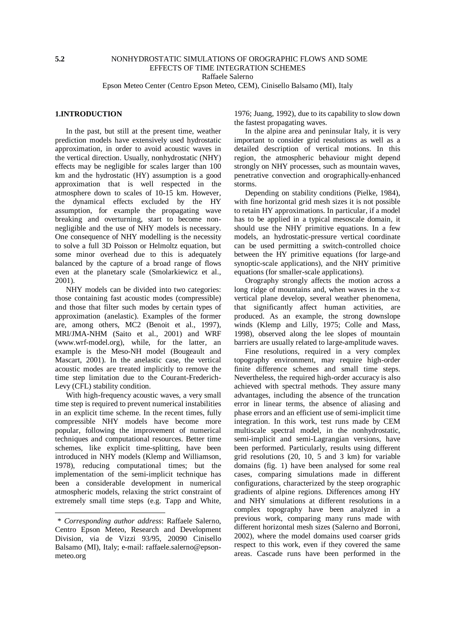Epson Meteo Center (Centro Epson Meteo, CEM), Cinisello Balsamo (MI), Italy

#### **1.INTRODUCTION**

In the past, but still at the present time, weather prediction models have extensively used hydrostatic approximation, in order to avoid acoustic waves in the vertical direction. Usually, nonhydrostatic (NHY) effects may be negligible for scales larger than 100 km and the hydrostatic (HY) assumption is a good approximation that is well respected in the atmosphere down to scales of 10-15 km. However, the dynamical effects excluded by the HY assumption, for example the propagating wave breaking and overturning, start to become nonnegligible and the use of NHY models is necessary. One consequence of NHY modelling is the necessity to solve a full 3D Poisson or Helmoltz equation, but some minor overhead due to this is adequately balanced by the capture of a broad range of flows even at the planetary scale (Smolarkiewicz et al., 2001).

NHY models can be divided into two categories: those containing fast acoustic modes (compressible) and those that filter such modes by certain types of approximation (anelastic). Examples of the former are, among others, MC2 (Benoit et al., 1997), MRI/JMA-NHM (Saito et al., 2001) and WRF (www.wrf-model.org), while, for the latter, an example is the Meso-NH model (Bougeault and Mascart, 2001). In the anelastic case, the vertical acoustic modes are treated implicitly to remove the time step limitation due to the Courant-Frederich-Levy (CFL) stability condition.

With high-frequency acoustic waves, a very small time step is required to prevent numerical instabilities in an explicit time scheme. In the recent times, fully compressible NHY models have become more popular, following the improvement of numerical techniques and computational resources. Better time schemes, like explicit time-splitting, have been introduced in NHY models (Klemp and Williamson, 1978), reducing computational times; but the implementation of the semi-implicit technique has been a considerable development in numerical atmospheric models, relaxing the strict constraint of extremely small time steps (e.g. Tapp and White,

1976; Juang, 1992), due to its capability to slow down the fastest propagating waves.

In the alpine area and peninsular Italy, it is very important to consider grid resolutions as well as a detailed description of vertical motions. In this region, the atmospheric behaviour might depend strongly on NHY processes, such as mountain waves, penetrative convection and orographically-enhanced storms.

Depending on stability conditions (Pielke, 1984), with fine horizontal grid mesh sizes it is not possible to retain HY approximations. In particular, if a model has to be applied in a typical mesoscale domain, it should use the NHY primitive equations. In a few models, an hydrostatic-pressure vertical coordinate can be used permitting a switch-controlled choice between the HY primitive equations (for large-and synoptic-scale applications), and the NHY primitive equations (for smaller-scale applications).

Orography strongly affects the motion across a long ridge of mountains and, when waves in the x-z vertical plane develop, several weather phenomena, that significantly affect human activities, are produced. As an example, the strong downslope winds (Klemp and Lilly, 1975; Colle and Mass, 1998), observed along the lee slopes of mountain barriers are usually related to large-amplitude waves.

Fine resolutions, required in a very complex topography environment, may require high-order finite difference schemes and small time steps. Nevertheless, the required high-order accuracy is also achieved with spectral methods. They assure many advantages, including the absence of the truncation error in linear terms, the absence of aliasing and phase errors and an efficient use of semi-implicit time integration. In this work, test runs made by CEM multiscale spectral model, in the nonhydrostatic, semi-implicit and semi-Lagrangian versions, have been performed. Particularly, results using different grid resolutions (20, 10, 5 and 3 km) for variable domains (fig. 1) have been analysed for some real cases, comparing simulations made in different configurations, characterized by the steep orographic gradients of alpine regions. Differences among HY and NHY simulations at different resolutions in a complex topography have been analyzed in a previous work, comparing many runs made with different horizontal mesh sizes (Salerno and Borroni, 2002), where the model domains used coarser grids respect to this work, even if they covered the same areas. Cascade runs have been performed in the

*<sup>\*</sup> Corresponding author address*: Raffaele Salerno, Centro Epson Meteo, Research and Development Division, via de Vizzi 93/95, 20090 Cinisello Balsamo (MI), Italy; e-mail: raffaele.salerno@epsonmeteo.org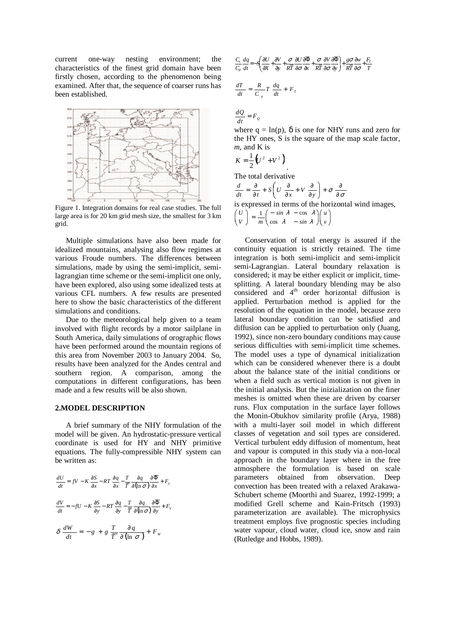current one-way nesting environment; the characteristics of the finest grid domain have been firstly chosen, according to the phenomenon being examined. After that, the sequence of coarser runs has been established.



Figure 1. Integration domains for real case studies. The full large area is for 20 km grid mesh size, the smallest for 3 km grid.

Multiple simulations have also been made for idealized mountains, analysing also flow regimes at various Froude numbers. The differences between simulations, made by using the semi-implicit, semilagrangian time scheme or the semi-implicit one only, have been explored, also using some idealized tests at various CFL numbers. A few results are presented here to show the basic characteristics of the different simulations and conditions.

Due to the meteorological help given to a team involved with flight records by a motor sailplane in South America, daily simulations of orographic flows have been performed around the mountain regions of this area from November 2003 to January 2004. So, results have been analyzed for the Andes central and southern region. A comparison, among the computations in different configurations, has been made and a few results will be also shown.

#### **2.MODEL DESCRIPTION**

A brief summary of the NHY formulation of the model will be given. An hydrostatic-pressure vertical coordinate is used for HY and NHY primitive equations. The fully-compressible NHY system can be written as:

$$
\frac{dU}{dt} = fV - K \frac{\partial S}{\partial x} - RT \frac{\partial q}{\partial x} - \frac{T}{\overline{T}} \frac{\partial q}{\partial (\ln \sigma)} \frac{\partial \Phi}{\partial x} + F_U
$$

$$
\frac{dV}{dt} = -fU - K \frac{\partial S}{\partial y} - RT \frac{\partial q}{\partial y} - \frac{T}{\overline{T}} \frac{\partial q}{\partial (\ln \sigma)} \frac{\partial \overline{\Phi}}{\partial y} + F_V
$$

$$
\delta \frac{dW}{dt} = -g + g \frac{T}{\overline{T}} \frac{\partial q}{\partial (\ln \sigma)} + F_W
$$

$$
\frac{C_v}{C_p} \frac{dq}{dt} = -S \left( \frac{\partial U}{\partial X} + \frac{\partial V}{\partial y} + \frac{\sigma}{RT} \frac{\partial U}{\partial \sigma} \frac{\partial \overline{\Phi}}{\partial x} + \frac{\sigma}{RT} \frac{\partial V}{\partial \sigma} \frac{\partial \overline{\Phi}}{\partial y} \right) + \frac{g\sigma}{RT} \frac{\partial w}{\partial \sigma} + \frac{F_r}{T}
$$
\n
$$
\frac{dT}{dt} = \frac{R}{C_p} T \frac{dq}{dt} + F_r
$$

 $\frac{d\mathcal{L}}{dt} = F_{Q}$  $\frac{dQ}{dx}$ 

where  $q = \ln(p)$ ,  $\delta$  is one for NHY runs and zero for the HY ones, S is the square of the map scale factor, *m*, and K is

$$
K=\frac{1}{2}(U^2+V^2).
$$

The total derivative

$$
\frac{d}{dt} = \frac{\partial}{\partial t} + S\left(U\frac{\partial}{\partial x} + V\frac{\partial}{\partial y}\right) + \sigma \frac{\partial}{\partial \sigma}
$$

is expressed in terms of the horizontal wind images,

. . . .

$$
\begin{pmatrix} U \\ V \end{pmatrix} = \frac{1}{m} \begin{pmatrix} -\sin \lambda & -\cos \lambda \\ \cos \lambda & -\sin \lambda \end{pmatrix} \begin{pmatrix} u \\ v \end{pmatrix}
$$

Conservation of total energy is assured if the continuity equation is strictly retained. The time integration is both semi-implicit and semi-implicit semi-Lagrangian. Lateral boundary relaxation is considered; it may be either explicit or implicit, timesplitting. A lateral boundary blending may be also considered and 4<sup>th</sup> order horizontal diffusion is applied. Perturbation method is applied for the resolution of the equation in the model, because zero lateral boundary condition can be satisfied and diffusion can be applied to perturbation only (Juang, 1992), since non-zero boundary conditions may cause serious difficulties with semi-implicit time schemes. The model uses a type of dynamical initialization which can be considered whenever there is a doubt about the balance state of the initial conditions or when a field such as vertical motion is not given in the initial analysis. But the inizialization on the finer meshes is omitted when these are driven by coarser runs. Flux computation in the surface layer follows the Monin-Obukhov similarity profile (Arya, 1988) with a multi-layer soil model in which different classes of vegetation and soil types are considered. Vertical turbulent eddy diffusion of momentum, heat and vapour is computed in this study via a non-local approach in the boundary layer where in the free atmosphere the formulation is based on scale parameters obtained from observation. Deep convection has been treated with a relaxed Arakawa-Schubert scheme (Moorthi and Suarez, 1992-1999; a modified Grell scheme and Kain-Fritsch (1993) parameterization are available). The microphysics treatment employs five prognostic species including water vapour, cloud water, cloud ice, snow and rain (Rutledge and Hobbs, 1989).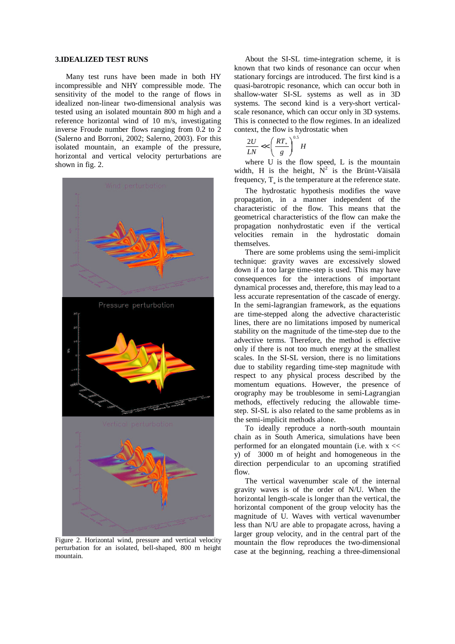# **3.IDEALIZED TEST RUNS**

Many test runs have been made in both HY incompressible and NHY compressible mode. The sensitivity of the model to the range of flows in idealized non-linear two-dimensional analysis was tested using an isolated mountain 800 m high and a reference horizontal wind of 10 m/s, investigating inverse Froude number flows ranging from 0.2 to 2 (Salerno and Borroni, 2002; Salerno, 2003). For this isolated mountain, an example of the pressure, horizontal and vertical velocity perturbations are shown in fig. 2.



Figure 2. Horizontal wind, pressure and vertical velocity perturbation for an isolated, bell-shaped, 800 m height mountain.

About the SI-SL time-integration scheme, it is known that two kinds of resonance can occur when stationary forcings are introduced. The first kind is a quasi-barotropic resonance, which can occur both in shallow-water SI-SL systems as well as in 3D systems. The second kind is a very-short verticalscale resonance, which can occur only in 3D systems. This is connected to the flow regimes. In an idealized context, the flow is hydrostatic when

$$
\frac{2U}{LN} << \left(\frac{RT_*}{g}\right)^{0.5} H
$$

where U is the flow speed, L is the mountain width, H is the height,  $\bar{N}^2$  is the Brünt-Väisälä frequency,  $T_*$  is the temperature at the reference state.

The hydrostatic hypothesis modifies the wave propagation, in a manner independent of the characteristic of the flow. This means that the geometrical characteristics of the flow can make the propagation nonhydrostatic even if the vertical velocities remain in the hydrostatic domain themselves.

There are some problems using the semi-implicit technique: gravity waves are excessively slowed down if a too large time-step is used. This may have consequences for the interactions of important dynamical processes and, therefore, this may lead to a less accurate representation of the cascade of energy. In the semi-lagrangian framework, as the equations are time-stepped along the advective characteristic lines, there are no limitations imposed by numerical stability on the magnitude of the time-step due to the advective terms. Therefore, the method is effective only if there is not too much energy at the smallest scales. In the SI-SL version, there is no limitations due to stability regarding time-step magnitude with respect to any physical process described by the momentum equations. However, the presence of orography may be troublesome in semi-Lagrangian methods, effectively reducing the allowable timestep. SI-SL is also related to the same problems as in the semi-implicit methods alone.

To ideally reproduce a north-south mountain chain as in South America, simulations have been performed for an elongated mountain (i.e. with x << y) of 3000 m of height and homogeneous in the direction perpendicular to an upcoming stratified flow.

The vertical wavenumber scale of the internal gravity waves is of the order of N/U. When the horizontal length-scale is longer than the vertical, the horizontal component of the group velocity has the magnitude of U. Waves with vertical wavenumber less than N/U are able to propagate across, having a larger group velocity, and in the central part of the mountain the flow reproduces the two-dimensional case at the beginning, reaching a three-dimensional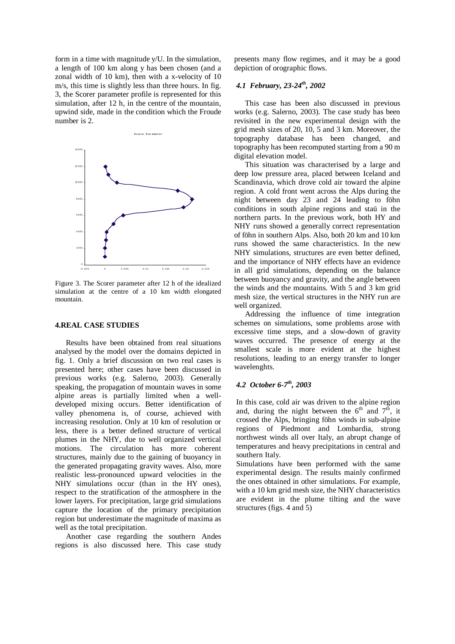form in a time with magnitude y/U. In the simulation, a length of 100 km along y has been chosen (and a zonal width of 10 km), then with a x-velocity of 10 m/s, this time is slightly less than three hours. In fig. 3, the Scorer parameter profile is represented for this simulation, after 12 h, in the centre of the mountain, upwind side, made in the condition which the Froude number is 2.



Figure 3. The Scorer parameter after 12 h of the idealized simulation at the centre of a 10 km width elongated mountain.

#### **4.REAL CASE STUDIES**

Results have been obtained from real situations analysed by the model over the domains depicted in fig. 1. Only a brief discussion on two real cases is presented here; other cases have been discussed in previous works (e.g. Salerno, 2003). Generally speaking, the propagation of mountain waves in some alpine areas is partially limited when a welldeveloped mixing occurs. Better identification of valley phenomena is, of course, achieved with increasing resolution. Only at 10 km of resolution or less, there is a better defined structure of vertical plumes in the NHY, due to well organized vertical motions. The circulation has more coherent structures, mainly due to the gaining of buoyancy in the generated propagating gravity waves. Also, more realistic less-pronounced upward velocities in the NHY simulations occur (than in the HY ones), respect to the stratification of the atmosphere in the lower layers. For precipitation, large grid simulations capture the location of the primary precipitation region but underestimate the magnitude of maxima as well as the total precipitation.

Another case regarding the southern Andes regions is also discussed here. This case study

presents many flow regimes, and it may be a good depiction of orographic flows.

# *4.1 February, 23-24 th , 2002*

This case has been also discussed in previous works (e.g. Salerno, 2003). The case study has been revisited in the new experimental design with the grid mesh sizes of 20, 10, 5 and 3 km. Moreover, the topography database has been changed, and topography has been recomputed starting from a 90 m digital elevation model.

This situation was characterised by a large and deep low pressure area, placed between Iceland and Scandinavia, which drove cold air toward the alpine region. A cold front went across the Alps during the night between day 23 and 24 leading to föhn conditions in south alpine regions and staü in the northern parts. In the previous work, both HY and NHY runs showed a generally correct representation of föhn in southern Alps. Also, both 20 km and 10 km runs showed the same characteristics. In the new NHY simulations, structures are even better defined, and the importance of NHY effects have an evidence in all grid simulations, depending on the balance between buoyancy and gravity, and the angle between the winds and the mountains. With 5 and 3 km grid mesh size, the vertical structures in the NHY run are well organized.

Addressing the influence of time integration schemes on simulations, some problems arose with excessive time steps, and a slow-down of gravity waves occurred. The presence of energy at the smallest scale is more evident at the highest resolutions, leading to an energy transfer to longer wavelenghts.

# *4.2 October 6-7 th , 2003*

In this case, cold air was driven to the alpine region and, during the night between the  $6^{th}$  and  $7^{th}$ , it crossed the Alps, bringing föhn winds in sub-alpine regions of Piedmont and Lombardia, strong northwest winds all over Italy, an abrupt change of temperatures and heavy precipitations in central and southern Italy.

Simulations have been performed with the same experimental design. The results mainly confirmed the ones obtained in other simulations. For example, with a 10 km grid mesh size, the NHY characteristics are evident in the plume tilting and the wave structures (figs. 4 and 5)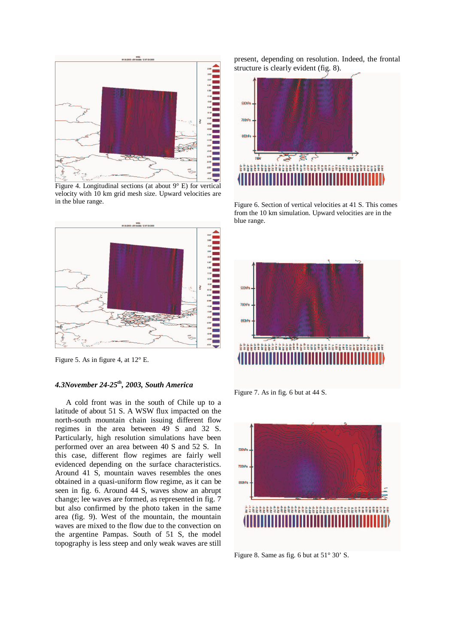

Figure 4. Longitudinal sections (at about  $9^{\circ}$  E) for vertical velocity with 10 km grid mesh size. Upward velocities are in the blue range.



Figure 5. As in figure 4, at 12° E.

# *4.3November 24-25 th , 2003, South America*

A cold front was in the south of Chile up to a latitude of about 51 S. A WSW flux impacted on the north-south mountain chain issuing different flow regimes in the area between 49 S and 32 S. Particularly, high resolution simulations have been performed over an area between 40 S and 52 S. In this case, different flow regimes are fairly well evidenced depending on the surface characteristics. Around 41 S, mountain waves resembles the ones obtained in a quasi-uniform flow regime, as it can be seen in fig. 6. Around 44 S, waves show an abrupt change; lee waves are formed, as represented in fig. 7 but also confirmed by the photo taken in the same area (fig. 9). West of the mountain, the mountain waves are mixed to the flow due to the convection on the argentine Pampas. South of 51 S, the model topography is less steep and only weak waves are still present, depending on resolution. Indeed, the frontal structure is clearly evident (fig. 8).



Figure 6. Section of vertical velocities at 41 S. This comes from the 10 km simulation. Upward velocities are in the blue range.



Figure 7. As in fig. 6 but at 44 S.



Figure 8. Same as fig. 6 but at 51° 30' S.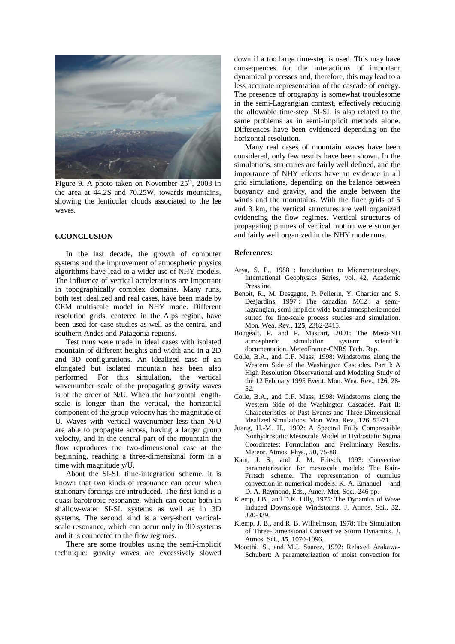

Figure 9. A photo taken on November  $25<sup>th</sup>$ , 2003 in the area at 44.2S and 70.25W, towards mountains, showing the lenticular clouds associated to the lee waves.

#### **6.CONCLUSION**

In the last decade, the growth of computer systems and the improvement of atmospheric physics algorithms have lead to a wider use of NHY models. The influence of vertical accelerations are important in topographically complex domains. Many runs, both test idealized and real cases, have been made by CEM multiscale model in NHY mode. Different resolution grids, centered in the Alps region, have been used for case studies as well as the central and southern Andes and Patagonia regions.

Test runs were made in ideal cases with isolated mountain of different heights and width and in a 2D and 3D configurations. An idealized case of an elongated but isolated mountain has been also performed. For this simulation, the vertical wavenumber scale of the propagating gravity waves is of the order of N/U. When the horizontal lengthscale is longer than the vertical, the horizontal component of the group velocity has the magnitude of U. Waves with vertical wavenumber less than N/U are able to propagate across, having a larger group velocity, and in the central part of the mountain the flow reproduces the two-dimensional case at the beginning, reaching a three-dimensional form in a time with magnitude y/U.

About the SI-SL time-integration scheme, it is known that two kinds of resonance can occur when stationary forcings are introduced. The first kind is a quasi-barotropic resonance, which can occur both in shallow-water SI-SL systems as well as in 3D systems. The second kind is a very-short verticalscale resonance, which can occur only in 3D systems and it is connected to the flow regimes.

There are some troubles using the semi-implicit technique: gravity waves are excessively slowed down if a too large time-step is used. This may have consequences for the interactions of important dynamical processes and, therefore, this may lead to a less accurate representation of the cascade of energy. The presence of orography is somewhat troublesome in the semi-Lagrangian context, effectively reducing the allowable time-step. SI-SL is also related to the same problems as in semi-implicit methods alone. Differences have been evidenced depending on the horizontal resolution.

Many real cases of mountain waves have been considered, only few results have been shown. In the simulations, structures are fairly well defined, and the importance of NHY effects have an evidence in all grid simulations, depending on the balance between buoyancy and gravity, and the angle between the winds and the mountains. With the finer grids of 5 and 3 km, the vertical structures are well organized evidencing the flow regimes. Vertical structures of propagating plumes of vertical motion were stronger and fairly well organized in the NHY mode runs.

#### **References:**

- Arya, S. P., 1988 : Introduction to Micrometeorology. International Geophysics Series, vol. 42, Academic Press inc.
- Benoit, R., M. Desgagne, P. Pellerin, Y. Chartier and S. Desjardins, 1997 : The canadian MC2 : a semilagrangian, semi-implicit wide-band atmospheric model suited for fine-scale process studies and simulation. Mon. Wea. Rev., **125**, 2382-2415.
- Bougealt, P. and P. Mascart, 2001: The Meso-NH atmospheric simulation system: scientific documentation. MeteoFrance-CNRS Tech. Rep.
- Colle, B.A., and C.F. Mass, 1998: Windstorms along the Western Side of the Washington Cascades. Part I: A High Resolution Observational and Modeling Study of the 12 February 1995 Event. Mon. Wea. Rev., **126**, 28- 52.
- Colle, B.A., and C.F. Mass, 1998: Windstorms along the Western Side of the Washington Cascades. Part II: Characteristics of Past Events and Three-Dimensional Idealized Simulations. Mon. Wea. Rev., **126**, 53-71.
- Juang, H.-M. H., 1992: A Spectral Fully Compressible Nonhydrostatic Mesoscale Model in Hydrostatic Sigma Coordinates: Formulation and Preliminary Results. Meteor. Atmos. Phys., **50**, 75-88.
- Kain, J. S., and J. M. Fritsch, 1993: Convective parameterization for mesoscale models: The Kain-Fritsch scheme. The representation of cumulus convection in numerical models. K. A. Emanuel and D. A. Raymond, Eds., Amer. Met. Soc., 246 pp.
- Klemp, J.B., and D.K. Lilly, 1975: The Dynamics of Wave Induced Downslope Windstorms. J. Atmos. Sci., **32**, 320-339.
- Klemp, J. B., and R. B. Wilhelmson, 1978: The Simulation of Three-Dimensional Convective Storm Dynamics. J. Atmos. Sci., **35**, 1070-1096.
- Moorthi, S., and M.J. Suarez, 1992: Relaxed Arakawa-Schubert: A parameterization of moist convection for